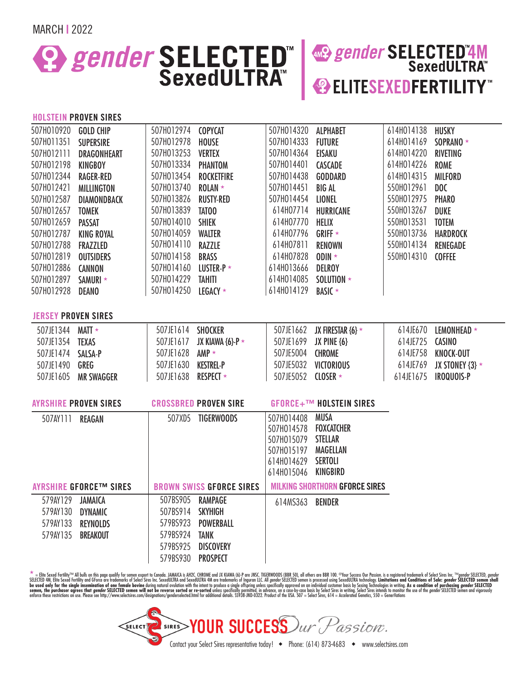MARCH **|** 2022

## **E. P. SELECTED AND SELECTED AND SELECTED AND SEXECULTRA"**

# **<sup>2</sup>** ELITESEXEDFERTILITY

#### **HOLSTEIN PROVEN SIRES**

| 507H010920 GOLD CHIP                                         |                           |                   |                                                                                                                                                                                                                                                                                                                                                                                                                                                        |                   | 614H014138                                                                                                                                                                                                                                                                                                                                                                                              | HUSKY                                 |
|--------------------------------------------------------------|---------------------------|-------------------|--------------------------------------------------------------------------------------------------------------------------------------------------------------------------------------------------------------------------------------------------------------------------------------------------------------------------------------------------------------------------------------------------------------------------------------------------------|-------------------|---------------------------------------------------------------------------------------------------------------------------------------------------------------------------------------------------------------------------------------------------------------------------------------------------------------------------------------------------------------------------------------------------------|---------------------------------------|
| 507H011351<br><b>SUPERSIRE</b>                               | 507H012978                | <b>HOUSE</b>      | 507H014333                                                                                                                                                                                                                                                                                                                                                                                                                                             | <b>FUTURE</b>     | 614H014169                                                                                                                                                                                                                                                                                                                                                                                              | SOPRANO *                             |
| 507H012111<br><b>DRAGONHEART</b>                             |                           |                   |                                                                                                                                                                                                                                                                                                                                                                                                                                                        | EISAKU            | 614H014220                                                                                                                                                                                                                                                                                                                                                                                              | <b>RIVETING</b>                       |
| 507H012198<br><b>KINGBOY</b>                                 |                           |                   |                                                                                                                                                                                                                                                                                                                                                                                                                                                        | <b>CASCADE</b>    | 614H014226                                                                                                                                                                                                                                                                                                                                                                                              | <b>ROME</b>                           |
| 507H012344<br><b>RAGER-RED</b>                               |                           | <b>ROCKETFIRE</b> | 507H014438                                                                                                                                                                                                                                                                                                                                                                                                                                             | GODDARD           | 614H014315                                                                                                                                                                                                                                                                                                                                                                                              | <b>MILFORD</b>                        |
| <b>MILLINGTON</b>                                            | 507H013740                | $ROLAN \star$     | 507H014451                                                                                                                                                                                                                                                                                                                                                                                                                                             | <b>BIG AL</b>     | 550H012961                                                                                                                                                                                                                                                                                                                                                                                              | DOC                                   |
| 507H012587<br><b>DIAMONDBACK</b>                             | 507H013826                | <b>RUSTY-RED</b>  | 507H014454                                                                                                                                                                                                                                                                                                                                                                                                                                             | <b>LIONEL</b>     | 550H012975                                                                                                                                                                                                                                                                                                                                                                                              | <b>PHARO</b>                          |
| 507H012657<br><b>TOMEK</b>                                   | 507H013839                | TATO <sub>0</sub> | 614H07714                                                                                                                                                                                                                                                                                                                                                                                                                                              | <b>HURRICANE</b>  | 550H013267                                                                                                                                                                                                                                                                                                                                                                                              | DUKE                                  |
| 507H012659<br><b>PASSAT</b>                                  | 507H014010                | <b>SHIEK</b>      | 614H07770                                                                                                                                                                                                                                                                                                                                                                                                                                              | HELIX             | 550H013531                                                                                                                                                                                                                                                                                                                                                                                              | <b>TOTEM</b>                          |
| <b>KING ROYAL</b>                                            | 507H014059                | <b>WALTER</b>     | 614H07796                                                                                                                                                                                                                                                                                                                                                                                                                                              | GRIFF $\star$     | 550H013736                                                                                                                                                                                                                                                                                                                                                                                              | <b>HARDROCK</b>                       |
| 507H012788<br>FRAZZLED                                       | 507H014110                | <b>RAZZLE</b>     | 614H07811                                                                                                                                                                                                                                                                                                                                                                                                                                              | <b>RENOWN</b>     | 550H014134                                                                                                                                                                                                                                                                                                                                                                                              | <b>RENEGADE</b>                       |
| 507H012819<br><b>OUTSIDERS</b>                               | 507H014158                | <b>BRASS</b>      | 614H07828                                                                                                                                                                                                                                                                                                                                                                                                                                              | $ODIN \star$      | 550H014310                                                                                                                                                                                                                                                                                                                                                                                              | <b>COFFEE</b>                         |
| 507H012886<br><b>CANNON</b>                                  |                           |                   | 614H013666                                                                                                                                                                                                                                                                                                                                                                                                                                             | <b>DELROY</b>     |                                                                                                                                                                                                                                                                                                                                                                                                         |                                       |
| 507H012897<br>SAMURI <b>*</b>                                |                           |                   |                                                                                                                                                                                                                                                                                                                                                                                                                                                        | SOLUTION <b>★</b> |                                                                                                                                                                                                                                                                                                                                                                                                         |                                       |
| <b>DEANO</b>                                                 |                           |                   |                                                                                                                                                                                                                                                                                                                                                                                                                                                        | <b>BASIC</b> ★    |                                                                                                                                                                                                                                                                                                                                                                                                         |                                       |
|                                                              |                           |                   |                                                                                                                                                                                                                                                                                                                                                                                                                                                        |                   |                                                                                                                                                                                                                                                                                                                                                                                                         |                                       |
| <b>JERSEY PROVEN SIRES</b>                                   |                           |                   |                                                                                                                                                                                                                                                                                                                                                                                                                                                        |                   |                                                                                                                                                                                                                                                                                                                                                                                                         |                                       |
| 507JE1344 MATT *                                             |                           |                   |                                                                                                                                                                                                                                                                                                                                                                                                                                                        |                   | 614JE670                                                                                                                                                                                                                                                                                                                                                                                                | LEMONHEAD *                           |
| 507JE1354 TEXAS                                              |                           |                   |                                                                                                                                                                                                                                                                                                                                                                                                                                                        |                   | 614JE725 CASINO                                                                                                                                                                                                                                                                                                                                                                                         |                                       |
| 507JE1474 SALSA-P                                            |                           |                   |                                                                                                                                                                                                                                                                                                                                                                                                                                                        |                   |                                                                                                                                                                                                                                                                                                                                                                                                         | 614JE758 KNOCK-OUT                    |
| 507JE1490 GREG                                               |                           |                   |                                                                                                                                                                                                                                                                                                                                                                                                                                                        |                   |                                                                                                                                                                                                                                                                                                                                                                                                         | 614JE769 JX STONEY $\{3\}$ *          |
| 507JE1605 MR SWAGGER                                         |                           |                   |                                                                                                                                                                                                                                                                                                                                                                                                                                                        |                   |                                                                                                                                                                                                                                                                                                                                                                                                         |                                       |
|                                                              |                           |                   |                                                                                                                                                                                                                                                                                                                                                                                                                                                        |                   |                                                                                                                                                                                                                                                                                                                                                                                                         |                                       |
| <b>AYRSHIRE PROVEN SIRES</b><br><b>CROSSBRED PROVEN SIRE</b> |                           |                   |                                                                                                                                                                                                                                                                                                                                                                                                                                                        |                   |                                                                                                                                                                                                                                                                                                                                                                                                         |                                       |
| 507AY111 REAGAN                                              |                           |                   | 507H014408                                                                                                                                                                                                                                                                                                                                                                                                                                             | <b>MUSA</b>       |                                                                                                                                                                                                                                                                                                                                                                                                         |                                       |
|                                                              |                           |                   |                                                                                                                                                                                                                                                                                                                                                                                                                                                        |                   |                                                                                                                                                                                                                                                                                                                                                                                                         |                                       |
|                                                              |                           |                   |                                                                                                                                                                                                                                                                                                                                                                                                                                                        |                   |                                                                                                                                                                                                                                                                                                                                                                                                         |                                       |
|                                                              |                           |                   |                                                                                                                                                                                                                                                                                                                                                                                                                                                        |                   |                                                                                                                                                                                                                                                                                                                                                                                                         |                                       |
|                                                              |                           |                   |                                                                                                                                                                                                                                                                                                                                                                                                                                                        |                   |                                                                                                                                                                                                                                                                                                                                                                                                         |                                       |
|                                                              |                           |                   |                                                                                                                                                                                                                                                                                                                                                                                                                                                        |                   |                                                                                                                                                                                                                                                                                                                                                                                                         |                                       |
| AYRSHIRE GFORCE™ SIRES                                       |                           |                   |                                                                                                                                                                                                                                                                                                                                                                                                                                                        |                   |                                                                                                                                                                                                                                                                                                                                                                                                         |                                       |
| 579AY129                                                     |                           |                   |                                                                                                                                                                                                                                                                                                                                                                                                                                                        |                   |                                                                                                                                                                                                                                                                                                                                                                                                         |                                       |
| 579AY130                                                     |                           |                   |                                                                                                                                                                                                                                                                                                                                                                                                                                                        |                   |                                                                                                                                                                                                                                                                                                                                                                                                         |                                       |
| 579AY133 REYNOLDS                                            |                           |                   |                                                                                                                                                                                                                                                                                                                                                                                                                                                        |                   |                                                                                                                                                                                                                                                                                                                                                                                                         |                                       |
| <b>BREAKOUT</b>                                              |                           |                   |                                                                                                                                                                                                                                                                                                                                                                                                                                                        |                   |                                                                                                                                                                                                                                                                                                                                                                                                         |                                       |
|                                                              |                           |                   |                                                                                                                                                                                                                                                                                                                                                                                                                                                        |                   |                                                                                                                                                                                                                                                                                                                                                                                                         |                                       |
|                                                              |                           |                   |                                                                                                                                                                                                                                                                                                                                                                                                                                                        |                   |                                                                                                                                                                                                                                                                                                                                                                                                         |                                       |
|                                                              | JAMAICA<br><b>DYNAMIC</b> |                   | 507H012974 COPYCAT<br>507H013253 VERTEX<br>507H013334 PHANTOM<br>507H013454<br>507H014160 LUSTER-P *<br>507H014229 TAHITI<br>507H014250 LEGACY *<br>507JE1614 SHOCKER<br>507JE1617 JX KIAWA {6}-P *<br>507JE1628 AMP *<br>507JE1630 KESTREL-P<br>507JE1638 RESPECT *<br>507XD5 TIGERWOODS<br><b>BROWN SWISS GFORCE SIRES</b><br>507BS905 RAMPAGE<br>507BS914 SKYHIGH<br>579BS923 POWERBALL<br>579BS924 TANK<br>579BS925 DISCOVERY<br>579BS930 PROSPECT |                   | 507H014320 ALPHABET<br>507H014364<br>507H014401<br>614H014085<br>614H014129<br>507JE1662 JX FIRESTAR {6} *<br>507JE1699 JX PINE {6}<br>507JE5004 CHROME<br>507JE5032 VICTORIOUS<br>507JE5052 CLOSER *<br>GFORCE+™ HOLSTEIN SIRES<br>507H014578    FOXCATCHER<br><b>STELLAR</b><br>507H015079<br><b>MAGELLAN</b><br>507H015197<br><b>SERTOLI</b><br>614H014629<br>614H015046 KINGBIRD<br>614MS363 BENDER | <b>MILKING SHORTHORN GFORCE SIRES</b> |

\* = Elite Sexed Fertility™ All bulls on this page quality for semen export to Canada. JAMAICA is AH2C. CHROME and JX KIAWA {6}-P are JNSC. TIGERWOODS (BBR 50), all others are BBR 100. ®Your Success Our Passion, is a regist